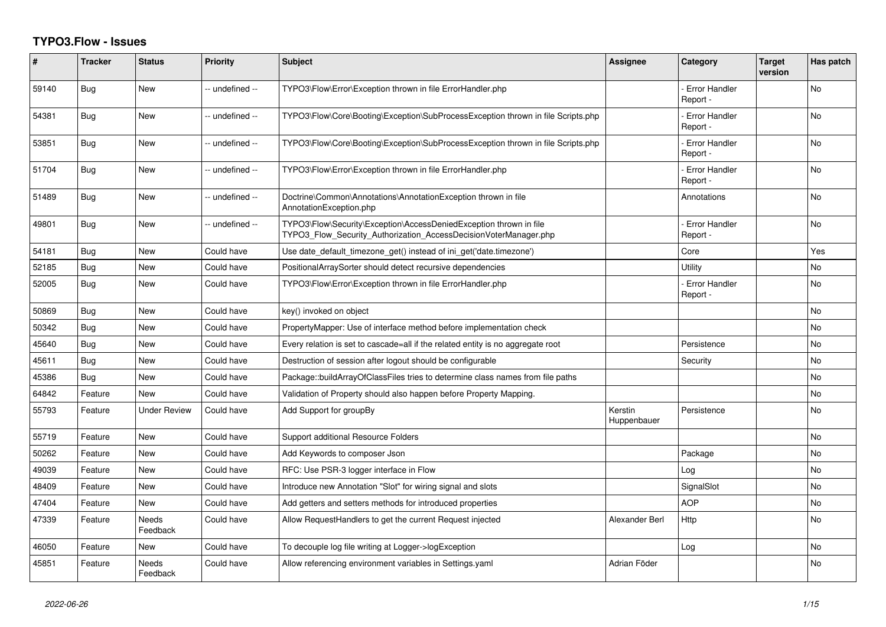## **TYPO3.Flow - Issues**

| #     | <b>Tracker</b> | <b>Status</b>     | <b>Priority</b> | <b>Subject</b>                                                                                                                         | <b>Assignee</b>        | Category                         | <b>Target</b><br>version | Has patch      |
|-------|----------------|-------------------|-----------------|----------------------------------------------------------------------------------------------------------------------------------------|------------------------|----------------------------------|--------------------------|----------------|
| 59140 | Bug            | New               | -- undefined -- | TYPO3\Flow\Error\Exception thrown in file ErrorHandler.php                                                                             |                        | <b>Error Handler</b><br>Report - |                          | N <sub>o</sub> |
| 54381 | Bug            | New               | -- undefined -- | TYPO3\Flow\Core\Booting\Exception\SubProcessException thrown in file Scripts.php                                                       |                        | <b>Error Handler</b><br>Report - |                          | No             |
| 53851 | Bug            | <b>New</b>        | -- undefined -- | TYPO3\Flow\Core\Booting\Exception\SubProcessException thrown in file Scripts.php                                                       |                        | <b>Error Handler</b><br>Report - |                          | No             |
| 51704 | Bug            | <b>New</b>        | -- undefined -- | TYPO3\Flow\Error\Exception thrown in file ErrorHandler.php                                                                             |                        | <b>Error Handler</b><br>Report - |                          | <b>No</b>      |
| 51489 | Bug            | <b>New</b>        | -- undefined -- | Doctrine\Common\Annotations\AnnotationException thrown in file<br>AnnotationException.php                                              |                        | Annotations                      |                          | <b>No</b>      |
| 49801 | Bug            | <b>New</b>        | -- undefined -- | TYPO3\Flow\Security\Exception\AccessDeniedException thrown in file<br>TYPO3 Flow Security Authorization AccessDecisionVoterManager.php |                        | <b>Error Handler</b><br>Report - |                          | <b>No</b>      |
| 54181 | Bug            | New               | Could have      | Use date default timezone get() instead of ini get('date.timezone')                                                                    |                        | Core                             |                          | Yes            |
| 52185 | Bug            | New               | Could have      | PositionalArraySorter should detect recursive dependencies                                                                             |                        | Utility                          |                          | No             |
| 52005 | Bug            | New               | Could have      | TYPO3\Flow\Error\Exception thrown in file ErrorHandler.php                                                                             |                        | Error Handler<br>Report -        |                          | No             |
| 50869 | Bug            | <b>New</b>        | Could have      | key() invoked on object                                                                                                                |                        |                                  |                          | <b>No</b>      |
| 50342 | Bug            | <b>New</b>        | Could have      | PropertyMapper: Use of interface method before implementation check                                                                    |                        |                                  |                          | <b>No</b>      |
| 45640 | Bug            | New               | Could have      | Every relation is set to cascade=all if the related entity is no aggregate root                                                        |                        | Persistence                      |                          | <b>No</b>      |
| 45611 | <b>Bug</b>     | <b>New</b>        | Could have      | Destruction of session after logout should be configurable                                                                             |                        | Security                         |                          | <b>No</b>      |
| 45386 | Bug            | <b>New</b>        | Could have      | Package::buildArrayOfClassFiles tries to determine class names from file paths                                                         |                        |                                  |                          | No             |
| 64842 | Feature        | <b>New</b>        | Could have      | Validation of Property should also happen before Property Mapping.                                                                     |                        |                                  |                          | No             |
| 55793 | Feature        | Under Review      | Could have      | Add Support for groupBy                                                                                                                | Kerstin<br>Huppenbauer | Persistence                      |                          | No             |
| 55719 | Feature        | <b>New</b>        | Could have      | Support additional Resource Folders                                                                                                    |                        |                                  |                          | No             |
| 50262 | Feature        | New               | Could have      | Add Keywords to composer Json                                                                                                          |                        | Package                          |                          | No             |
| 49039 | Feature        | New               | Could have      | RFC: Use PSR-3 logger interface in Flow                                                                                                |                        | Log                              |                          | No             |
| 48409 | Feature        | <b>New</b>        | Could have      | Introduce new Annotation "Slot" for wiring signal and slots                                                                            |                        | SignalSlot                       |                          | No             |
| 47404 | Feature        | New               | Could have      | Add getters and setters methods for introduced properties                                                                              |                        | <b>AOP</b>                       |                          | <b>No</b>      |
| 47339 | Feature        | Needs<br>Feedback | Could have      | Allow RequestHandlers to get the current Request injected                                                                              | Alexander Berl         | Http                             |                          | No             |
| 46050 | Feature        | New               | Could have      | To decouple log file writing at Logger->logException                                                                                   |                        | Log                              |                          | <b>No</b>      |
| 45851 | Feature        | Needs<br>Feedback | Could have      | Allow referencing environment variables in Settings yaml                                                                               | Adrian Föder           |                                  |                          | <b>No</b>      |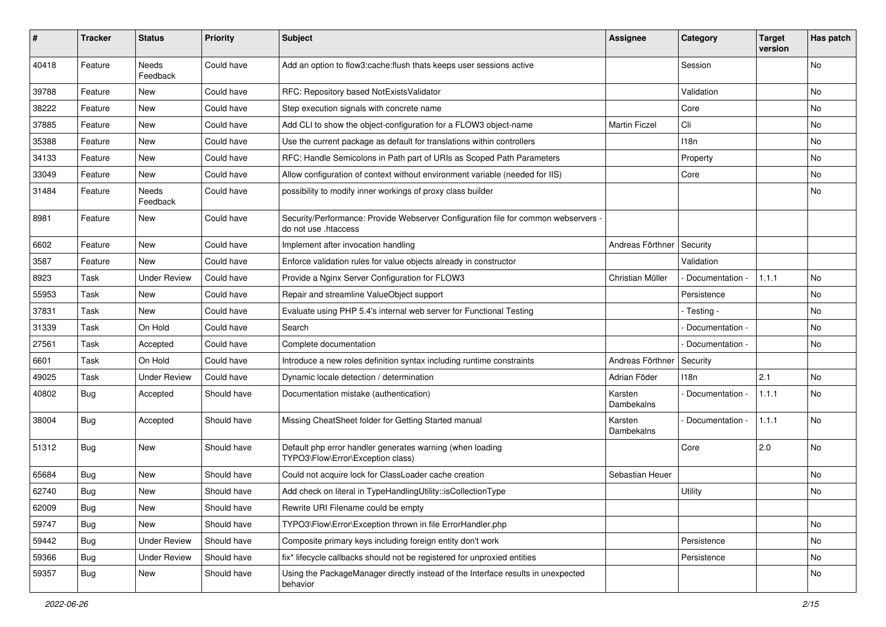| ∦     | <b>Tracker</b> | <b>Status</b>       | <b>Priority</b> | Subject                                                                                                    | Assignee              | Category         | <b>Target</b><br>version | Has patch |
|-------|----------------|---------------------|-----------------|------------------------------------------------------------------------------------------------------------|-----------------------|------------------|--------------------------|-----------|
| 40418 | Feature        | Needs<br>Feedback   | Could have      | Add an option to flow3:cache:flush thats keeps user sessions active                                        |                       | Session          |                          | No        |
| 39788 | Feature        | New                 | Could have      | RFC: Repository based NotExistsValidator                                                                   |                       | Validation       |                          | <b>No</b> |
| 38222 | Feature        | <b>New</b>          | Could have      | Step execution signals with concrete name                                                                  |                       | Core             |                          | <b>No</b> |
| 37885 | Feature        | New                 | Could have      | Add CLI to show the object-configuration for a FLOW3 object-name                                           | <b>Martin Ficzel</b>  | Cli              |                          | No        |
| 35388 | Feature        | New                 | Could have      | Use the current package as default for translations within controllers                                     |                       | 118 <sub>n</sub> |                          | <b>No</b> |
| 34133 | Feature        | New                 | Could have      | RFC: Handle Semicolons in Path part of URIs as Scoped Path Parameters                                      |                       | Property         |                          | No        |
| 33049 | Feature        | New                 | Could have      | Allow configuration of context without environment variable (needed for IIS)                               |                       | Core             |                          | No        |
| 31484 | Feature        | Needs<br>Feedback   | Could have      | possibility to modify inner workings of proxy class builder                                                |                       |                  |                          | No        |
| 8981  | Feature        | New                 | Could have      | Security/Performance: Provide Webserver Configuration file for common webservers -<br>do not use .htaccess |                       |                  |                          |           |
| 6602  | Feature        | New                 | Could have      | Implement after invocation handling                                                                        | Andreas Förthner      | Security         |                          |           |
| 3587  | Feature        | <b>New</b>          | Could have      | Enforce validation rules for value objects already in constructor                                          |                       | Validation       |                          |           |
| 8923  | Task           | <b>Under Review</b> | Could have      | Provide a Nginx Server Configuration for FLOW3                                                             | Christian Müller      | Documentation -  | 1.1.1                    | No        |
| 55953 | Task           | New                 | Could have      | Repair and streamline ValueObject support                                                                  |                       | Persistence      |                          | No        |
| 37831 | Task           | New                 | Could have      | Evaluate using PHP 5.4's internal web server for Functional Testing                                        |                       | - Testing -      |                          | No        |
| 31339 | Task           | On Hold             | Could have      | Search                                                                                                     |                       | Documentation -  |                          | No        |
| 27561 | Task           | Accepted            | Could have      | Complete documentation                                                                                     |                       | Documentation -  |                          | No        |
| 6601  | Task           | On Hold             | Could have      | Introduce a new roles definition syntax including runtime constraints                                      | Andreas Förthner      | Security         |                          |           |
| 49025 | Task           | <b>Under Review</b> | Could have      | Dynamic locale detection / determination                                                                   | Adrian Föder          | 118n             | 2.1                      | <b>No</b> |
| 40802 | Bug            | Accepted            | Should have     | Documentation mistake (authentication)                                                                     | Karsten<br>Dambekalns | Documentation -  | 1.1.1                    | No        |
| 38004 | Bug            | Accepted            | Should have     | Missing CheatSheet folder for Getting Started manual                                                       | Karsten<br>Dambekalns | Documentation -  | 1.1.1                    | No        |
| 51312 | Bug            | New                 | Should have     | Default php error handler generates warning (when loading<br>TYPO3\Flow\Error\Exception class)             |                       | Core             | 2.0                      | <b>No</b> |
| 65684 | Bug            | New                 | Should have     | Could not acquire lock for ClassLoader cache creation                                                      | Sebastian Heuer       |                  |                          | <b>No</b> |
| 62740 | Bug            | New                 | Should have     | Add check on literal in TypeHandlingUtility::isCollectionType                                              |                       | Utility          |                          | No        |
| 62009 | <b>Bug</b>     | New                 | Should have     | Rewrite URI Filename could be empty                                                                        |                       |                  |                          |           |
| 59747 | <b>Bug</b>     | New                 | Should have     | TYPO3\Flow\Error\Exception thrown in file ErrorHandler.php                                                 |                       |                  |                          | No        |
| 59442 | Bug            | <b>Under Review</b> | Should have     | Composite primary keys including foreign entity don't work                                                 |                       | Persistence      |                          | No        |
| 59366 | <b>Bug</b>     | <b>Under Review</b> | Should have     | fix* lifecycle callbacks should not be registered for unproxied entities                                   |                       | Persistence      |                          | No        |
| 59357 | <b>Bug</b>     | New                 | Should have     | Using the PackageManager directly instead of the Interface results in unexpected<br>behavior               |                       |                  |                          | No        |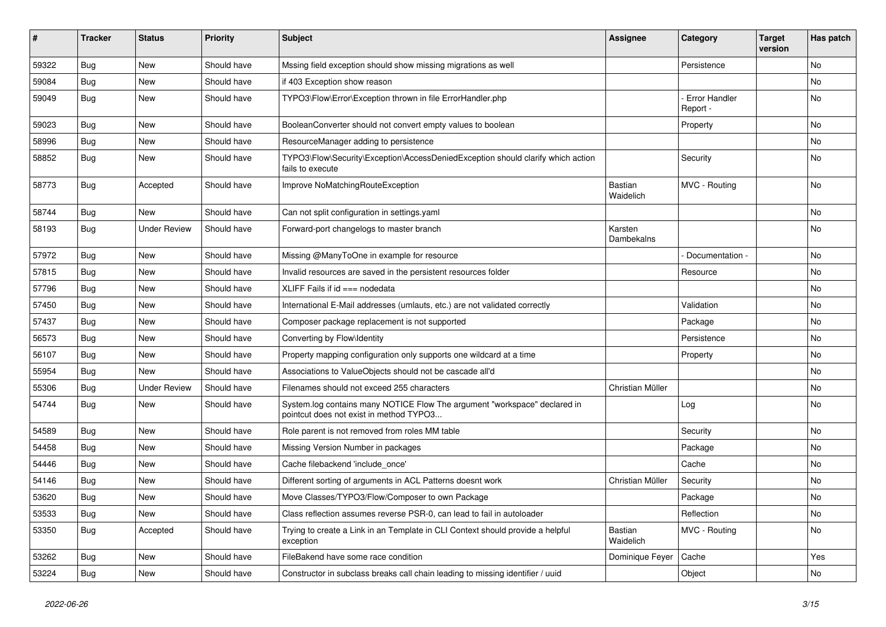| #     | <b>Tracker</b> | <b>Status</b>       | <b>Priority</b> | <b>Subject</b>                                                                                                       | Assignee              | Category                         | <b>Target</b><br>version | Has patch |
|-------|----------------|---------------------|-----------------|----------------------------------------------------------------------------------------------------------------------|-----------------------|----------------------------------|--------------------------|-----------|
| 59322 | Bug            | <b>New</b>          | Should have     | Mssing field exception should show missing migrations as well                                                        |                       | Persistence                      |                          | No        |
| 59084 | <b>Bug</b>     | New                 | Should have     | if 403 Exception show reason                                                                                         |                       |                                  |                          | No        |
| 59049 | <b>Bug</b>     | <b>New</b>          | Should have     | TYPO3\Flow\Error\Exception thrown in file ErrorHandler.php                                                           |                       | <b>Error Handler</b><br>Report - |                          | No        |
| 59023 | Bug            | <b>New</b>          | Should have     | BooleanConverter should not convert empty values to boolean                                                          |                       | Property                         |                          | No        |
| 58996 | <b>Bug</b>     | New                 | Should have     | ResourceManager adding to persistence                                                                                |                       |                                  |                          | No.       |
| 58852 | <b>Bug</b>     | New                 | Should have     | TYPO3\Flow\Security\Exception\AccessDeniedException should clarify which action<br>fails to execute                  |                       | Security                         |                          | No        |
| 58773 | <b>Bug</b>     | Accepted            | Should have     | Improve NoMatchingRouteException                                                                                     | Bastian<br>Waidelich  | MVC - Routing                    |                          | No        |
| 58744 | <b>Bug</b>     | <b>New</b>          | Should have     | Can not split configuration in settings.yaml                                                                         |                       |                                  |                          | No        |
| 58193 | <b>Bug</b>     | <b>Under Review</b> | Should have     | Forward-port changelogs to master branch                                                                             | Karsten<br>Dambekalns |                                  |                          | No        |
| 57972 | <b>Bug</b>     | New                 | Should have     | Missing @ManyToOne in example for resource                                                                           |                       | Documentation -                  |                          | No.       |
| 57815 | <b>Bug</b>     | New                 | Should have     | Invalid resources are saved in the persistent resources folder                                                       |                       | Resource                         |                          | No        |
| 57796 | Bug            | New                 | Should have     | XLIFF Fails if id === nodedata                                                                                       |                       |                                  |                          | No        |
| 57450 | Bug            | New                 | Should have     | International E-Mail addresses (umlauts, etc.) are not validated correctly                                           |                       | Validation                       |                          | No        |
| 57437 | <b>Bug</b>     | New                 | Should have     | Composer package replacement is not supported                                                                        |                       | Package                          |                          | No        |
| 56573 | <b>Bug</b>     | New                 | Should have     | Converting by Flow\Identity                                                                                          |                       | Persistence                      |                          | No        |
| 56107 | <b>Bug</b>     | <b>New</b>          | Should have     | Property mapping configuration only supports one wildcard at a time                                                  |                       | Property                         |                          | No        |
| 55954 | <b>Bug</b>     | <b>New</b>          | Should have     | Associations to ValueObjects should not be cascade all'd                                                             |                       |                                  |                          | No        |
| 55306 | <b>Bug</b>     | <b>Under Review</b> | Should have     | Filenames should not exceed 255 characters                                                                           | Christian Müller      |                                  |                          | No.       |
| 54744 | Bug            | New                 | Should have     | System.log contains many NOTICE Flow The argument "workspace" declared in<br>pointcut does not exist in method TYPO3 |                       | Log                              |                          | No        |
| 54589 | Bug            | <b>New</b>          | Should have     | Role parent is not removed from roles MM table                                                                       |                       | Security                         |                          | No        |
| 54458 | <b>Bug</b>     | New                 | Should have     | Missing Version Number in packages                                                                                   |                       | Package                          |                          | No        |
| 54446 | Bug            | New                 | Should have     | Cache filebackend 'include once'                                                                                     |                       | Cache                            |                          | No        |
| 54146 | <b>Bug</b>     | New                 | Should have     | Different sorting of arguments in ACL Patterns doesnt work                                                           | Christian Müller      | Security                         |                          | No        |
| 53620 | <b>Bug</b>     | New                 | Should have     | Move Classes/TYPO3/Flow/Composer to own Package                                                                      |                       | Package                          |                          | No        |
| 53533 | <b>Bug</b>     | New                 | Should have     | Class reflection assumes reverse PSR-0, can lead to fail in autoloader                                               |                       | Reflection                       |                          | No        |
| 53350 | Bug            | Accepted            | Should have     | Trying to create a Link in an Template in CLI Context should provide a helpful<br>exception                          | Bastian<br>Waidelich  | MVC - Routing                    |                          | No        |
| 53262 | Bug            | New                 | Should have     | FileBakend have some race condition                                                                                  | Dominique Feyer       | Cache                            |                          | Yes       |
| 53224 | <b>Bug</b>     | New                 | Should have     | Constructor in subclass breaks call chain leading to missing identifier / uuid                                       |                       | Object                           |                          | No        |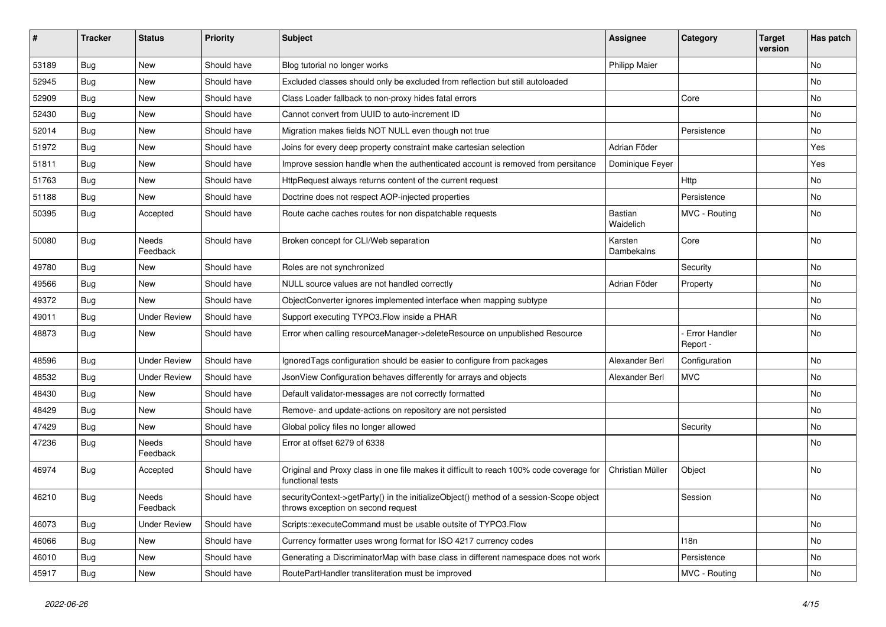| ∦     | <b>Tracker</b> | <b>Status</b>            | <b>Priority</b> | <b>Subject</b>                                                                                                               | <b>Assignee</b>       | Category                  | <b>Target</b><br>version | Has patch |
|-------|----------------|--------------------------|-----------------|------------------------------------------------------------------------------------------------------------------------------|-----------------------|---------------------------|--------------------------|-----------|
| 53189 | Bug            | New                      | Should have     | Blog tutorial no longer works                                                                                                | <b>Philipp Maier</b>  |                           |                          | <b>No</b> |
| 52945 | <b>Bug</b>     | New                      | Should have     | Excluded classes should only be excluded from reflection but still autoloaded                                                |                       |                           |                          | No        |
| 52909 | Bug            | New                      | Should have     | Class Loader fallback to non-proxy hides fatal errors                                                                        |                       | Core                      |                          | No        |
| 52430 | Bug            | New                      | Should have     | Cannot convert from UUID to auto-increment ID                                                                                |                       |                           |                          | No        |
| 52014 | Bug            | New                      | Should have     | Migration makes fields NOT NULL even though not true                                                                         |                       | Persistence               |                          | No        |
| 51972 | Bug            | <b>New</b>               | Should have     | Joins for every deep property constraint make cartesian selection                                                            | Adrian Föder          |                           |                          | Yes       |
| 51811 | <b>Bug</b>     | New                      | Should have     | Improve session handle when the authenticated account is removed from persitance                                             | Dominique Feyer       |                           |                          | Yes       |
| 51763 | <b>Bug</b>     | New                      | Should have     | HttpRequest always returns content of the current request                                                                    |                       | Http                      |                          | No        |
| 51188 | Bug            | New                      | Should have     | Doctrine does not respect AOP-injected properties                                                                            |                       | Persistence               |                          | No        |
| 50395 | <b>Bug</b>     | Accepted                 | Should have     | Route cache caches routes for non dispatchable requests                                                                      | Bastian<br>Waidelich  | MVC - Routing             |                          | No        |
| 50080 | Bug            | <b>Needs</b><br>Feedback | Should have     | Broken concept for CLI/Web separation                                                                                        | Karsten<br>Dambekalns | Core                      |                          | No        |
| 49780 | Bug            | New                      | Should have     | Roles are not synchronized                                                                                                   |                       | Security                  |                          | <b>No</b> |
| 49566 | <b>Bug</b>     | New                      | Should have     | NULL source values are not handled correctly                                                                                 | Adrian Föder          | Property                  |                          | No        |
| 49372 | <b>Bug</b>     | <b>New</b>               | Should have     | ObjectConverter ignores implemented interface when mapping subtype                                                           |                       |                           |                          | No        |
| 49011 | Bug            | <b>Under Review</b>      | Should have     | Support executing TYPO3.Flow inside a PHAR                                                                                   |                       |                           |                          | No        |
| 48873 | <b>Bug</b>     | New                      | Should have     | Error when calling resourceManager->deleteResource on unpublished Resource                                                   |                       | Error Handler<br>Report - |                          | No        |
| 48596 | <b>Bug</b>     | <b>Under Review</b>      | Should have     | IgnoredTags configuration should be easier to configure from packages                                                        | Alexander Berl        | Configuration             |                          | No        |
| 48532 | <b>Bug</b>     | <b>Under Review</b>      | Should have     | JsonView Configuration behaves differently for arrays and objects                                                            | Alexander Berl        | <b>MVC</b>                |                          | No        |
| 48430 | Bug            | New                      | Should have     | Default validator-messages are not correctly formatted                                                                       |                       |                           |                          | <b>No</b> |
| 48429 | <b>Bug</b>     | New                      | Should have     | Remove- and update-actions on repository are not persisted                                                                   |                       |                           |                          | No        |
| 47429 | <b>Bug</b>     | New                      | Should have     | Global policy files no longer allowed                                                                                        |                       | Security                  |                          | No        |
| 47236 | <b>Bug</b>     | <b>Needs</b><br>Feedback | Should have     | Error at offset 6279 of 6338                                                                                                 |                       |                           |                          | No        |
| 46974 | <b>Bug</b>     | Accepted                 | Should have     | Original and Proxy class in one file makes it difficult to reach 100% code coverage for<br>functional tests                  | Christian Müller      | Object                    |                          | No        |
| 46210 | Bug            | Needs<br>Feedback        | Should have     | securityContext->getParty() in the initializeObject() method of a session-Scope object<br>throws exception on second request |                       | Session                   |                          | No        |
| 46073 | <b>Bug</b>     | <b>Under Review</b>      | Should have     | Scripts::executeCommand must be usable outsite of TYPO3.Flow                                                                 |                       |                           |                          | No        |
| 46066 | <b>Bug</b>     | New                      | Should have     | Currency formatter uses wrong format for ISO 4217 currency codes                                                             |                       | 118n                      |                          | No        |
| 46010 | <b>Bug</b>     | New                      | Should have     | Generating a DiscriminatorMap with base class in different namespace does not work                                           |                       | Persistence               |                          | No        |
| 45917 | <b>Bug</b>     | New                      | Should have     | RoutePartHandler transliteration must be improved                                                                            |                       | MVC - Routing             |                          | No        |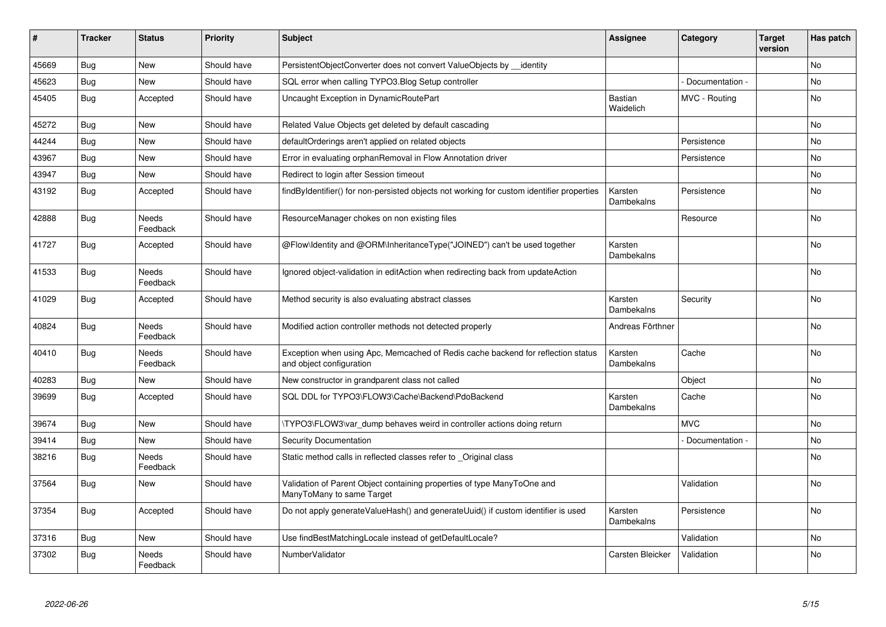| ∦     | <b>Tracker</b> | <b>Status</b>            | <b>Priority</b> | <b>Subject</b>                                                                                               | <b>Assignee</b>             | Category        | <b>Target</b><br>version | Has patch |
|-------|----------------|--------------------------|-----------------|--------------------------------------------------------------------------------------------------------------|-----------------------------|-----------------|--------------------------|-----------|
| 45669 | Bug            | <b>New</b>               | Should have     | PersistentObjectConverter does not convert ValueObjects by identity                                          |                             |                 |                          | <b>No</b> |
| 45623 | <b>Bug</b>     | <b>New</b>               | Should have     | SQL error when calling TYPO3.Blog Setup controller                                                           |                             | Documentation - |                          | No        |
| 45405 | <b>Bug</b>     | Accepted                 | Should have     | Uncaught Exception in DynamicRoutePart                                                                       | <b>Bastian</b><br>Waidelich | MVC - Routing   |                          | No        |
| 45272 | Bug            | <b>New</b>               | Should have     | Related Value Objects get deleted by default cascading                                                       |                             |                 |                          | <b>No</b> |
| 44244 | <b>Bug</b>     | <b>New</b>               | Should have     | defaultOrderings aren't applied on related objects                                                           |                             | Persistence     |                          | <b>No</b> |
| 43967 | Bug            | New                      | Should have     | Error in evaluating orphanRemoval in Flow Annotation driver                                                  |                             | Persistence     |                          | No        |
| 43947 | <b>Bug</b>     | <b>New</b>               | Should have     | Redirect to login after Session timeout                                                                      |                             |                 |                          | No        |
| 43192 | <b>Bug</b>     | Accepted                 | Should have     | findByIdentifier() for non-persisted objects not working for custom identifier properties                    | Karsten<br>Dambekalns       | Persistence     |                          | <b>No</b> |
| 42888 | Bug            | Needs<br>Feedback        | Should have     | ResourceManager chokes on non existing files                                                                 |                             | Resource        |                          | No        |
| 41727 | Bug            | Accepted                 | Should have     | @Flow\Identity and @ORM\InheritanceType("JOINED") can't be used together                                     | Karsten<br>Dambekalns       |                 |                          | No        |
| 41533 | <b>Bug</b>     | Needs<br>Feedback        | Should have     | Ignored object-validation in editAction when redirecting back from updateAction                              |                             |                 |                          | No        |
| 41029 | <b>Bug</b>     | Accepted                 | Should have     | Method security is also evaluating abstract classes                                                          | Karsten<br>Dambekalns       | Security        |                          | No        |
| 40824 | <b>Bug</b>     | Needs<br>Feedback        | Should have     | Modified action controller methods not detected properly                                                     | Andreas Förthner            |                 |                          | No        |
| 40410 | Bug            | Needs<br>Feedback        | Should have     | Exception when using Apc, Memcached of Redis cache backend for reflection status<br>and object configuration | Karsten<br>Dambekalns       | Cache           |                          | No        |
| 40283 | <b>Bug</b>     | <b>New</b>               | Should have     | New constructor in grandparent class not called                                                              |                             | Object          |                          | No        |
| 39699 | <b>Bug</b>     | Accepted                 | Should have     | SQL DDL for TYPO3\FLOW3\Cache\Backend\PdoBackend                                                             | Karsten<br>Dambekalns       | Cache           |                          | <b>No</b> |
| 39674 | Bug            | <b>New</b>               | Should have     | TYPO3\FLOW3\var dump behaves weird in controller actions doing return                                        |                             | <b>MVC</b>      |                          | <b>No</b> |
| 39414 | Bug            | New                      | Should have     | Security Documentation                                                                                       |                             | Documentation - |                          | No        |
| 38216 | Bug            | <b>Needs</b><br>Feedback | Should have     | Static method calls in reflected classes refer to Original class                                             |                             |                 |                          | <b>No</b> |
| 37564 | Bug            | <b>New</b>               | Should have     | Validation of Parent Object containing properties of type ManyToOne and<br>ManyToMany to same Target         |                             | Validation      |                          | No        |
| 37354 | Bug            | Accepted                 | Should have     | Do not apply generateValueHash() and generateUuid() if custom identifier is used                             | Karsten<br>Dambekalns       | Persistence     |                          | <b>No</b> |
| 37316 | <b>Bug</b>     | <b>New</b>               | Should have     | Use findBestMatchingLocale instead of getDefaultLocale?                                                      |                             | Validation      |                          | No        |
| 37302 | Bug            | <b>Needs</b><br>Feedback | Should have     | NumberValidator                                                                                              | Carsten Bleicker            | Validation      |                          | <b>No</b> |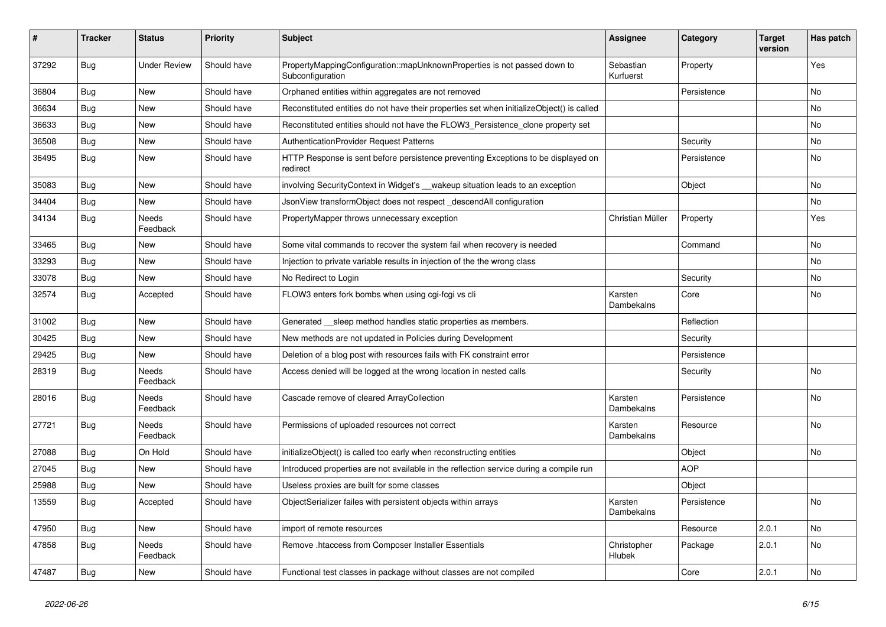| #     | <b>Tracker</b> | <b>Status</b>            | Priority    | <b>Subject</b>                                                                                | <b>Assignee</b>        | Category    | <b>Target</b><br>version | Has patch |
|-------|----------------|--------------------------|-------------|-----------------------------------------------------------------------------------------------|------------------------|-------------|--------------------------|-----------|
| 37292 | Bug            | <b>Under Review</b>      | Should have | PropertyMappingConfiguration::mapUnknownProperties is not passed down to<br>Subconfiguration  | Sebastian<br>Kurfuerst | Property    |                          | Yes       |
| 36804 | Bug            | <b>New</b>               | Should have | Orphaned entities within aggregates are not removed                                           |                        | Persistence |                          | No        |
| 36634 | Bug            | <b>New</b>               | Should have | Reconstituted entities do not have their properties set when initializeObject() is called     |                        |             |                          | <b>No</b> |
| 36633 | Bug            | New                      | Should have | Reconstituted entities should not have the FLOW3_Persistence_clone property set               |                        |             |                          | No        |
| 36508 | <b>Bug</b>     | <b>New</b>               | Should have | AuthenticationProvider Request Patterns                                                       |                        | Security    |                          | <b>No</b> |
| 36495 | <b>Bug</b>     | <b>New</b>               | Should have | HTTP Response is sent before persistence preventing Exceptions to be displayed on<br>redirect |                        | Persistence |                          | <b>No</b> |
| 35083 | Bug            | New                      | Should have | involving SecurityContext in Widget's __wakeup situation leads to an exception                |                        | Object      |                          | No        |
| 34404 | Bug            | New                      | Should have | JsonView transformObject does not respect descendAll configuration                            |                        |             |                          | No        |
| 34134 | Bug            | Needs<br>Feedback        | Should have | PropertyMapper throws unnecessary exception                                                   | Christian Müller       | Property    |                          | Yes       |
| 33465 | Bug            | <b>New</b>               | Should have | Some vital commands to recover the system fail when recovery is needed                        |                        | Command     |                          | No        |
| 33293 | Bug            | <b>New</b>               | Should have | Injection to private variable results in injection of the the wrong class                     |                        |             |                          | No        |
| 33078 | <b>Bug</b>     | <b>New</b>               | Should have | No Redirect to Login                                                                          |                        | Security    |                          | <b>No</b> |
| 32574 | Bug            | Accepted                 | Should have | FLOW3 enters fork bombs when using cgi-fcgi vs cli                                            | Karsten<br>Dambekalns  | Core        |                          | No        |
| 31002 | Bug            | <b>New</b>               | Should have | Generated sleep method handles static properties as members.                                  |                        | Reflection  |                          |           |
| 30425 | Bug            | <b>New</b>               | Should have | New methods are not updated in Policies during Development                                    |                        | Security    |                          |           |
| 29425 | <b>Bug</b>     | New                      | Should have | Deletion of a blog post with resources fails with FK constraint error                         |                        | Persistence |                          |           |
| 28319 | Bug            | Needs<br>Feedback        | Should have | Access denied will be logged at the wrong location in nested calls                            |                        | Security    |                          | No        |
| 28016 | Bug            | Needs<br>Feedback        | Should have | Cascade remove of cleared ArrayCollection                                                     | Karsten<br>Dambekalns  | Persistence |                          | <b>No</b> |
| 27721 | Bug            | <b>Needs</b><br>Feedback | Should have | Permissions of uploaded resources not correct                                                 | Karsten<br>Dambekalns  | Resource    |                          | <b>No</b> |
| 27088 | Bug            | On Hold                  | Should have | initializeObject() is called too early when reconstructing entities                           |                        | Object      |                          | No        |
| 27045 | Bug            | <b>New</b>               | Should have | Introduced properties are not available in the reflection service during a compile run        |                        | <b>AOP</b>  |                          |           |
| 25988 | Bug            | New                      | Should have | Useless proxies are built for some classes                                                    |                        | Object      |                          |           |
| 13559 | <b>Bug</b>     | Accepted                 | Should have | ObjectSerializer failes with persistent objects within arrays                                 | Karsten<br>Dambekalns  | Persistence |                          | No        |
| 47950 | Bug            | <b>New</b>               | Should have | import of remote resources                                                                    |                        | Resource    | 2.0.1                    | No.       |
| 47858 | Bug            | Needs<br>Feedback        | Should have | Remove .htaccess from Composer Installer Essentials                                           | Christopher<br>Hlubek  | Package     | 2.0.1                    | No        |
| 47487 | Bug            | New                      | Should have | Functional test classes in package without classes are not compiled                           |                        | Core        | 2.0.1                    | No.       |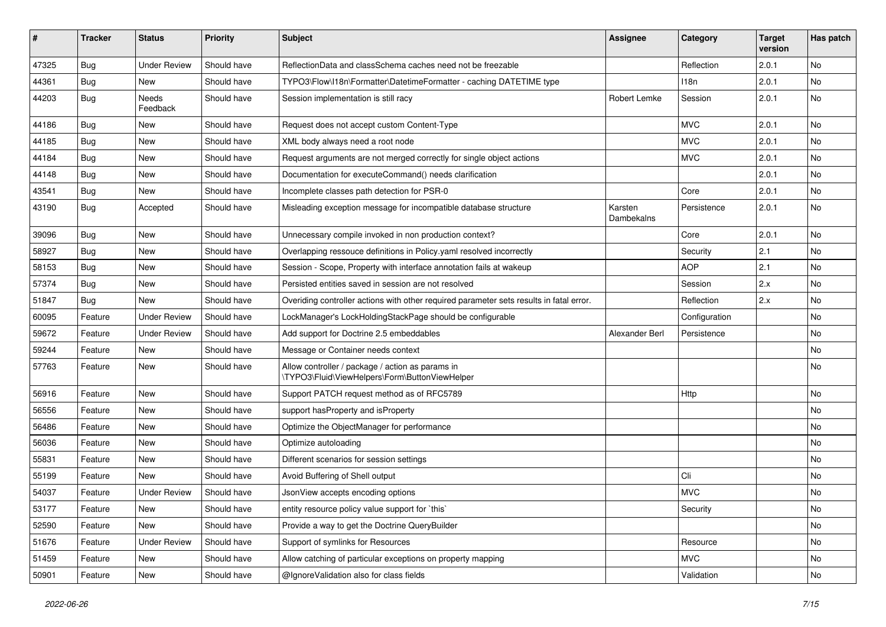| #     | <b>Tracker</b> | <b>Status</b>       | <b>Priority</b> | <b>Subject</b>                                                                                     | <b>Assignee</b>       | Category      | <b>Target</b><br>version | Has patch |
|-------|----------------|---------------------|-----------------|----------------------------------------------------------------------------------------------------|-----------------------|---------------|--------------------------|-----------|
| 47325 | <b>Bug</b>     | <b>Under Review</b> | Should have     | ReflectionData and classSchema caches need not be freezable                                        |                       | Reflection    | 2.0.1                    | <b>No</b> |
| 44361 | <b>Bug</b>     | New                 | Should have     | TYPO3\Flow\I18n\Formatter\DatetimeFormatter - caching DATETIME type                                |                       | 118n          | 2.0.1                    | No        |
| 44203 | <b>Bug</b>     | Needs<br>Feedback   | Should have     | Session implementation is still racy                                                               | Robert Lemke          | Session       | 2.0.1                    | <b>No</b> |
| 44186 | Bug            | New                 | Should have     | Request does not accept custom Content-Type                                                        |                       | <b>MVC</b>    | 2.0.1                    | <b>No</b> |
| 44185 | <b>Bug</b>     | New                 | Should have     | XML body always need a root node                                                                   |                       | <b>MVC</b>    | 2.0.1                    | No        |
| 44184 | <b>Bug</b>     | <b>New</b>          | Should have     | Request arguments are not merged correctly for single object actions                               |                       | <b>MVC</b>    | 2.0.1                    | No        |
| 44148 | Bug            | New                 | Should have     | Documentation for executeCommand() needs clarification                                             |                       |               | 2.0.1                    | No        |
| 43541 | <b>Bug</b>     | New                 | Should have     | Incomplete classes path detection for PSR-0                                                        |                       | Core          | 2.0.1                    | <b>No</b> |
| 43190 | <b>Bug</b>     | Accepted            | Should have     | Misleading exception message for incompatible database structure                                   | Karsten<br>Dambekalns | Persistence   | 2.0.1                    | No        |
| 39096 | Bug            | <b>New</b>          | Should have     | Unnecessary compile invoked in non production context?                                             |                       | Core          | 2.0.1                    | No        |
| 58927 | <b>Bug</b>     | New                 | Should have     | Overlapping ressouce definitions in Policy yaml resolved incorrectly                               |                       | Security      | 2.1                      | <b>No</b> |
| 58153 | <b>Bug</b>     | New                 | Should have     | Session - Scope, Property with interface annotation fails at wakeup                                |                       | <b>AOP</b>    | 2.1                      | No        |
| 57374 | <b>Bug</b>     | New                 | Should have     | Persisted entities saved in session are not resolved                                               |                       | Session       | 2.x                      | No        |
| 51847 | Bug            | New                 | Should have     | Overiding controller actions with other required parameter sets results in fatal error.            |                       | Reflection    | 2.x                      | No        |
| 60095 | Feature        | <b>Under Review</b> | Should have     | LockManager's LockHoldingStackPage should be configurable                                          |                       | Configuration |                          | No        |
| 59672 | Feature        | <b>Under Review</b> | Should have     | Add support for Doctrine 2.5 embeddables                                                           | Alexander Berl        | Persistence   |                          | No.       |
| 59244 | Feature        | New                 | Should have     | Message or Container needs context                                                                 |                       |               |                          | No        |
| 57763 | Feature        | New                 | Should have     | Allow controller / package / action as params in<br>\TYPO3\Fluid\ViewHelpers\Form\ButtonViewHelper |                       |               |                          | No        |
| 56916 | Feature        | New                 | Should have     | Support PATCH request method as of RFC5789                                                         |                       | Http          |                          | <b>No</b> |
| 56556 | Feature        | New                 | Should have     | support has Property and is Property                                                               |                       |               |                          | No        |
| 56486 | Feature        | New                 | Should have     | Optimize the ObjectManager for performance                                                         |                       |               |                          | No        |
| 56036 | Feature        | New                 | Should have     | Optimize autoloading                                                                               |                       |               |                          | No        |
| 55831 | Feature        | New                 | Should have     | Different scenarios for session settings                                                           |                       |               |                          | No        |
| 55199 | Feature        | New                 | Should have     | Avoid Buffering of Shell output                                                                    |                       | Cli           |                          | No        |
| 54037 | Feature        | <b>Under Review</b> | Should have     | JsonView accepts encoding options                                                                  |                       | <b>MVC</b>    |                          | No        |
| 53177 | Feature        | New                 | Should have     | entity resource policy value support for `this`                                                    |                       | Security      |                          | No        |
| 52590 | Feature        | New                 | Should have     | Provide a way to get the Doctrine QueryBuilder                                                     |                       |               |                          | No        |
| 51676 | Feature        | <b>Under Review</b> | Should have     | Support of symlinks for Resources                                                                  |                       | Resource      |                          | No        |
| 51459 | Feature        | New                 | Should have     | Allow catching of particular exceptions on property mapping                                        |                       | <b>MVC</b>    |                          | No        |
| 50901 | Feature        | New                 | Should have     | @IgnoreValidation also for class fields                                                            |                       | Validation    |                          | No        |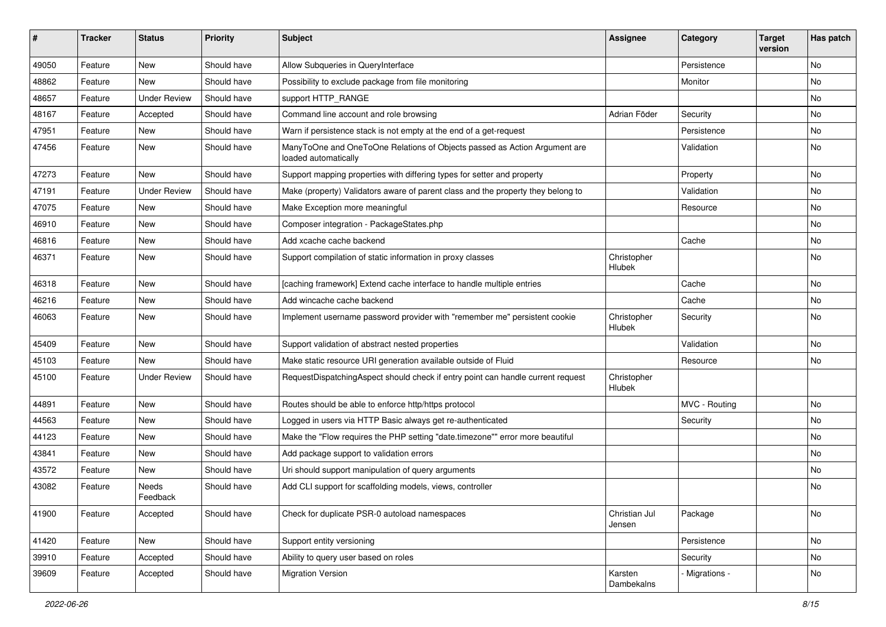| ∦     | <b>Tracker</b> | <b>Status</b>       | <b>Priority</b> | <b>Subject</b>                                                                                    | <b>Assignee</b>         | Category      | <b>Target</b><br>version | Has patch |
|-------|----------------|---------------------|-----------------|---------------------------------------------------------------------------------------------------|-------------------------|---------------|--------------------------|-----------|
| 49050 | Feature        | New                 | Should have     | Allow Subqueries in QueryInterface                                                                |                         | Persistence   |                          | No        |
| 48862 | Feature        | <b>New</b>          | Should have     | Possibility to exclude package from file monitoring                                               |                         | Monitor       |                          | No        |
| 48657 | Feature        | <b>Under Review</b> | Should have     | support HTTP_RANGE                                                                                |                         |               |                          | No        |
| 48167 | Feature        | Accepted            | Should have     | Command line account and role browsing                                                            | Adrian Föder            | Security      |                          | No        |
| 47951 | Feature        | New                 | Should have     | Warn if persistence stack is not empty at the end of a get-request                                |                         | Persistence   |                          | No        |
| 47456 | Feature        | New                 | Should have     | ManyToOne and OneToOne Relations of Objects passed as Action Argument are<br>loaded automatically |                         | Validation    |                          | No        |
| 47273 | Feature        | <b>New</b>          | Should have     | Support mapping properties with differing types for setter and property                           |                         | Property      |                          | <b>No</b> |
| 47191 | Feature        | <b>Under Review</b> | Should have     | Make (property) Validators aware of parent class and the property they belong to                  |                         | Validation    |                          | No        |
| 47075 | Feature        | New                 | Should have     | Make Exception more meaningful                                                                    |                         | Resource      |                          | No        |
| 46910 | Feature        | <b>New</b>          | Should have     | Composer integration - PackageStates.php                                                          |                         |               |                          | <b>No</b> |
| 46816 | Feature        | New                 | Should have     | Add xcache cache backend                                                                          |                         | Cache         |                          | No        |
| 46371 | Feature        | New                 | Should have     | Support compilation of static information in proxy classes                                        | Christopher<br>Hlubek   |               |                          | No        |
| 46318 | Feature        | <b>New</b>          | Should have     | [caching framework] Extend cache interface to handle multiple entries                             |                         | Cache         |                          | <b>No</b> |
| 46216 | Feature        | New                 | Should have     | Add wincache cache backend                                                                        |                         | Cache         |                          | No        |
| 46063 | Feature        | New                 | Should have     | Implement username password provider with "remember me" persistent cookie                         | Christopher<br>Hlubek   | Security      |                          | No        |
| 45409 | Feature        | New                 | Should have     | Support validation of abstract nested properties                                                  |                         | Validation    |                          | No        |
| 45103 | Feature        | New                 | Should have     | Make static resource URI generation available outside of Fluid                                    |                         | Resource      |                          | No        |
| 45100 | Feature        | <b>Under Review</b> | Should have     | RequestDispatchingAspect should check if entry point can handle current request                   | Christopher<br>Hlubek   |               |                          |           |
| 44891 | Feature        | New                 | Should have     | Routes should be able to enforce http/https protocol                                              |                         | MVC - Routing |                          | No        |
| 44563 | Feature        | New                 | Should have     | Logged in users via HTTP Basic always get re-authenticated                                        |                         | Security      |                          | No        |
| 44123 | Feature        | New                 | Should have     | Make the "Flow requires the PHP setting "date.timezone"" error more beautiful                     |                         |               |                          | No        |
| 43841 | Feature        | New                 | Should have     | Add package support to validation errors                                                          |                         |               |                          | No        |
| 43572 | Feature        | New                 | Should have     | Uri should support manipulation of query arguments                                                |                         |               |                          | <b>No</b> |
| 43082 | Feature        | Needs<br>Feedback   | Should have     | Add CLI support for scaffolding models, views, controller                                         |                         |               |                          | No        |
| 41900 | Feature        | Accepted            | Should have     | Check for duplicate PSR-0 autoload namespaces                                                     | Christian Jul<br>Jensen | Package       |                          | No        |
| 41420 | Feature        | New                 | Should have     | Support entity versioning                                                                         |                         | Persistence   |                          | No        |
| 39910 | Feature        | Accepted            | Should have     | Ability to query user based on roles                                                              |                         | Security      |                          | No        |
| 39609 | Feature        | Accepted            | Should have     | <b>Migration Version</b>                                                                          | Karsten<br>Dambekalns   | Migrations -  |                          | No        |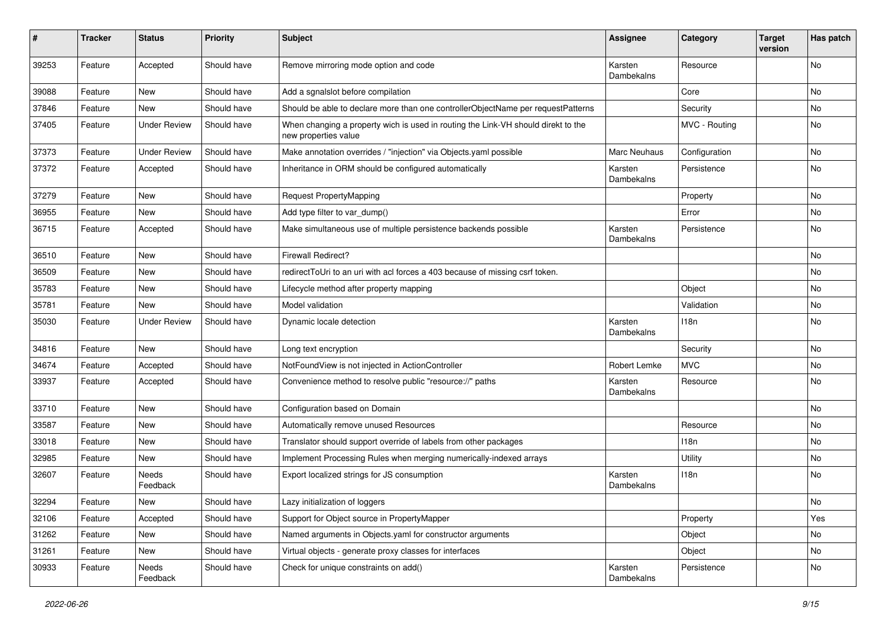| ∦     | <b>Tracker</b> | <b>Status</b>       | <b>Priority</b> | Subject                                                                                                   | Assignee                     | Category      | <b>Target</b><br>version | Has patch |
|-------|----------------|---------------------|-----------------|-----------------------------------------------------------------------------------------------------------|------------------------------|---------------|--------------------------|-----------|
| 39253 | Feature        | Accepted            | Should have     | Remove mirroring mode option and code                                                                     | Karsten<br>Dambekalns        | Resource      |                          | No        |
| 39088 | Feature        | New                 | Should have     | Add a sgnalslot before compilation                                                                        |                              | Core          |                          | No        |
| 37846 | Feature        | <b>New</b>          | Should have     | Should be able to declare more than one controllerObjectName per requestPatterns                          |                              | Security      |                          | No        |
| 37405 | Feature        | <b>Under Review</b> | Should have     | When changing a property wich is used in routing the Link-VH should direkt to the<br>new properties value |                              | MVC - Routing |                          | No        |
| 37373 | Feature        | <b>Under Review</b> | Should have     | Make annotation overrides / "injection" via Objects.yaml possible                                         | <b>Marc Neuhaus</b>          | Configuration |                          | No        |
| 37372 | Feature        | Accepted            | Should have     | Inheritance in ORM should be configured automatically                                                     | Karsten<br><b>Dambekalns</b> | Persistence   |                          | No        |
| 37279 | Feature        | <b>New</b>          | Should have     | <b>Request PropertyMapping</b>                                                                            |                              | Property      |                          | No        |
| 36955 | Feature        | New                 | Should have     | Add type filter to var_dump()                                                                             |                              | Error         |                          | No        |
| 36715 | Feature        | Accepted            | Should have     | Make simultaneous use of multiple persistence backends possible                                           | Karsten<br>Dambekalns        | Persistence   |                          | <b>No</b> |
| 36510 | Feature        | New                 | Should have     | <b>Firewall Redirect?</b>                                                                                 |                              |               |                          | No        |
| 36509 | Feature        | New                 | Should have     | redirectToUri to an uri with acl forces a 403 because of missing csrf token.                              |                              |               |                          | No        |
| 35783 | Feature        | New                 | Should have     | Lifecycle method after property mapping                                                                   |                              | Object        |                          | No        |
| 35781 | Feature        | New                 | Should have     | Model validation                                                                                          |                              | Validation    |                          | No        |
| 35030 | Feature        | <b>Under Review</b> | Should have     | Dynamic locale detection                                                                                  | Karsten<br>Dambekalns        | 118n          |                          | No        |
| 34816 | Feature        | <b>New</b>          | Should have     | Long text encryption                                                                                      |                              | Security      |                          | <b>No</b> |
| 34674 | Feature        | Accepted            | Should have     | NotFoundView is not injected in ActionController                                                          | Robert Lemke                 | <b>MVC</b>    |                          | No        |
| 33937 | Feature        | Accepted            | Should have     | Convenience method to resolve public "resource://" paths                                                  | Karsten<br>Dambekalns        | Resource      |                          | No        |
| 33710 | Feature        | New                 | Should have     | Configuration based on Domain                                                                             |                              |               |                          | No        |
| 33587 | Feature        | New                 | Should have     | Automatically remove unused Resources                                                                     |                              | Resource      |                          | No        |
| 33018 | Feature        | New                 | Should have     | Translator should support override of labels from other packages                                          |                              | 118n          |                          | No        |
| 32985 | Feature        | New                 | Should have     | Implement Processing Rules when merging numerically-indexed arrays                                        |                              | Utility       |                          | No        |
| 32607 | Feature        | Needs<br>Feedback   | Should have     | Export localized strings for JS consumption                                                               | Karsten<br>Dambekalns        | 118n          |                          | No        |
| 32294 | Feature        | New                 | Should have     | Lazy initialization of loggers                                                                            |                              |               |                          | No        |
| 32106 | Feature        | Accepted            | Should have     | Support for Object source in PropertyMapper                                                               |                              | Property      |                          | Yes       |
| 31262 | Feature        | New                 | Should have     | Named arguments in Objects.yaml for constructor arguments                                                 |                              | Object        |                          | No        |
| 31261 | Feature        | New                 | Should have     | Virtual objects - generate proxy classes for interfaces                                                   |                              | Object        |                          | No        |
| 30933 | Feature        | Needs<br>Feedback   | Should have     | Check for unique constraints on add()                                                                     | Karsten<br>Dambekalns        | Persistence   |                          | No        |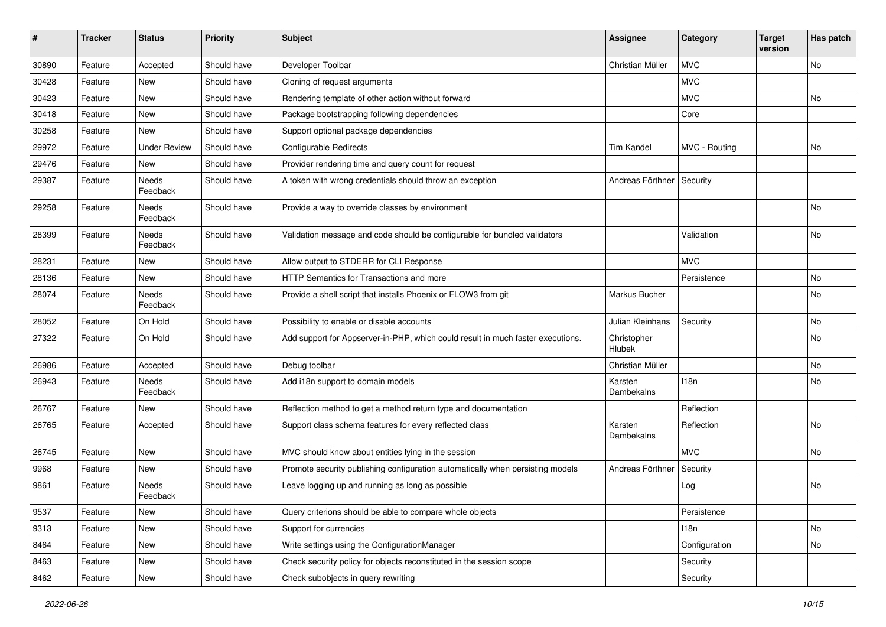| #     | <b>Tracker</b> | <b>Status</b>       | <b>Priority</b> | <b>Subject</b>                                                                  | <b>Assignee</b>       | Category      | <b>Target</b><br>version | Has patch |
|-------|----------------|---------------------|-----------------|---------------------------------------------------------------------------------|-----------------------|---------------|--------------------------|-----------|
| 30890 | Feature        | Accepted            | Should have     | Developer Toolbar                                                               | Christian Müller      | <b>MVC</b>    |                          | No.       |
| 30428 | Feature        | New                 | Should have     | Cloning of request arguments                                                    |                       | <b>MVC</b>    |                          |           |
| 30423 | Feature        | New                 | Should have     | Rendering template of other action without forward                              |                       | <b>MVC</b>    |                          | <b>No</b> |
| 30418 | Feature        | <b>New</b>          | Should have     | Package bootstrapping following dependencies                                    |                       | Core          |                          |           |
| 30258 | Feature        | New                 | Should have     | Support optional package dependencies                                           |                       |               |                          |           |
| 29972 | Feature        | <b>Under Review</b> | Should have     | Configurable Redirects                                                          | <b>Tim Kandel</b>     | MVC - Routing |                          | No.       |
| 29476 | Feature        | New                 | Should have     | Provider rendering time and query count for request                             |                       |               |                          |           |
| 29387 | Feature        | Needs<br>Feedback   | Should have     | A token with wrong credentials should throw an exception                        | Andreas Förthner      | Security      |                          |           |
| 29258 | Feature        | Needs<br>Feedback   | Should have     | Provide a way to override classes by environment                                |                       |               |                          | No        |
| 28399 | Feature        | Needs<br>Feedback   | Should have     | Validation message and code should be configurable for bundled validators       |                       | Validation    |                          | No        |
| 28231 | Feature        | New                 | Should have     | Allow output to STDERR for CLI Response                                         |                       | <b>MVC</b>    |                          |           |
| 28136 | Feature        | New                 | Should have     | HTTP Semantics for Transactions and more                                        |                       | Persistence   |                          | No        |
| 28074 | Feature        | Needs<br>Feedback   | Should have     | Provide a shell script that installs Phoenix or FLOW3 from git                  | Markus Bucher         |               |                          | No        |
| 28052 | Feature        | On Hold             | Should have     | Possibility to enable or disable accounts                                       | Julian Kleinhans      | Security      |                          | No        |
| 27322 | Feature        | On Hold             | Should have     | Add support for Appserver-in-PHP, which could result in much faster executions. | Christopher<br>Hlubek |               |                          | <b>No</b> |
| 26986 | Feature        | Accepted            | Should have     | Debug toolbar                                                                   | Christian Müller      |               |                          | No        |
| 26943 | Feature        | Needs<br>Feedback   | Should have     | Add i18n support to domain models                                               | Karsten<br>Dambekalns | 118n          |                          | No        |
| 26767 | Feature        | New                 | Should have     | Reflection method to get a method return type and documentation                 |                       | Reflection    |                          |           |
| 26765 | Feature        | Accepted            | Should have     | Support class schema features for every reflected class                         | Karsten<br>Dambekalns | Reflection    |                          | No        |
| 26745 | Feature        | <b>New</b>          | Should have     | MVC should know about entities lying in the session                             |                       | <b>MVC</b>    |                          | No        |
| 9968  | Feature        | New                 | Should have     | Promote security publishing configuration automatically when persisting models  | Andreas Förthner      | Security      |                          |           |
| 9861  | Feature        | Needs<br>Feedback   | Should have     | Leave logging up and running as long as possible                                |                       | Log           |                          | No        |
| 9537  | Feature        | <b>New</b>          | Should have     | Query criterions should be able to compare whole objects                        |                       | Persistence   |                          |           |
| 9313  | Feature        | New                 | Should have     | Support for currencies                                                          |                       | 118n          |                          | No        |
| 8464  | Feature        | New                 | Should have     | Write settings using the ConfigurationManager                                   |                       | Configuration |                          | No        |
| 8463  | Feature        | New                 | Should have     | Check security policy for objects reconstituted in the session scope            |                       | Security      |                          |           |
| 8462  | Feature        | New                 | Should have     | Check subobjects in query rewriting                                             |                       | Security      |                          |           |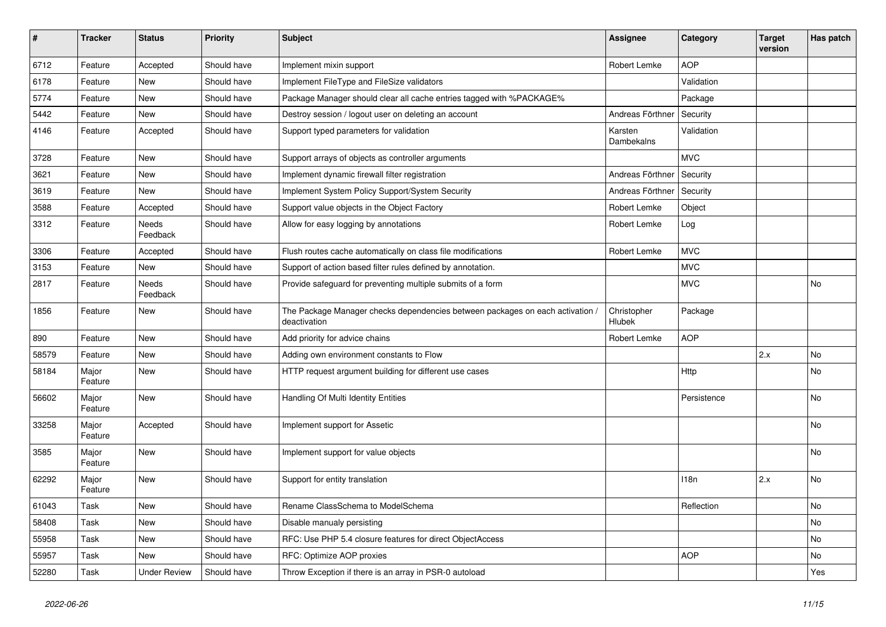| $\vert$ # | <b>Tracker</b>   | <b>Status</b>       | <b>Priority</b> | <b>Subject</b>                                                                                | <b>Assignee</b>       | Category    | <b>Target</b><br>version | Has patch |
|-----------|------------------|---------------------|-----------------|-----------------------------------------------------------------------------------------------|-----------------------|-------------|--------------------------|-----------|
| 6712      | Feature          | Accepted            | Should have     | Implement mixin support                                                                       | Robert Lemke          | <b>AOP</b>  |                          |           |
| 6178      | Feature          | New                 | Should have     | Implement FileType and FileSize validators                                                    |                       | Validation  |                          |           |
| 5774      | Feature          | <b>New</b>          | Should have     | Package Manager should clear all cache entries tagged with %PACKAGE%                          |                       | Package     |                          |           |
| 5442      | Feature          | <b>New</b>          | Should have     | Destroy session / logout user on deleting an account                                          | Andreas Förthner      | Security    |                          |           |
| 4146      | Feature          | Accepted            | Should have     | Support typed parameters for validation                                                       | Karsten<br>Dambekalns | Validation  |                          |           |
| 3728      | Feature          | New                 | Should have     | Support arrays of objects as controller arguments                                             |                       | <b>MVC</b>  |                          |           |
| 3621      | Feature          | <b>New</b>          | Should have     | Implement dynamic firewall filter registration                                                | Andreas Förthner      | Security    |                          |           |
| 3619      | Feature          | <b>New</b>          | Should have     | Implement System Policy Support/System Security                                               | Andreas Förthner      | Security    |                          |           |
| 3588      | Feature          | Accepted            | Should have     | Support value objects in the Object Factory                                                   | Robert Lemke          | Object      |                          |           |
| 3312      | Feature          | Needs<br>Feedback   | Should have     | Allow for easy logging by annotations                                                         | Robert Lemke          | Log         |                          |           |
| 3306      | Feature          | Accepted            | Should have     | Flush routes cache automatically on class file modifications                                  | Robert Lemke          | <b>MVC</b>  |                          |           |
| 3153      | Feature          | <b>New</b>          | Should have     | Support of action based filter rules defined by annotation.                                   |                       | <b>MVC</b>  |                          |           |
| 2817      | Feature          | Needs<br>Feedback   | Should have     | Provide safeguard for preventing multiple submits of a form                                   |                       | <b>MVC</b>  |                          | No        |
| 1856      | Feature          | <b>New</b>          | Should have     | The Package Manager checks dependencies between packages on each activation /<br>deactivation | Christopher<br>Hlubek | Package     |                          |           |
| 890       | Feature          | <b>New</b>          | Should have     | Add priority for advice chains                                                                | Robert Lemke          | <b>AOP</b>  |                          |           |
| 58579     | Feature          | <b>New</b>          | Should have     | Adding own environment constants to Flow                                                      |                       |             | 2.x                      | No        |
| 58184     | Major<br>Feature | New                 | Should have     | HTTP request argument building for different use cases                                        |                       | Http        |                          | No        |
| 56602     | Major<br>Feature | New                 | Should have     | Handling Of Multi Identity Entities                                                           |                       | Persistence |                          | No        |
| 33258     | Major<br>Feature | Accepted            | Should have     | Implement support for Assetic                                                                 |                       |             |                          | No        |
| 3585      | Major<br>Feature | <b>New</b>          | Should have     | Implement support for value objects                                                           |                       |             |                          | No        |
| 62292     | Major<br>Feature | <b>New</b>          | Should have     | Support for entity translation                                                                |                       | 118n        | 2.x                      | No        |
| 61043     | Task             | New                 | Should have     | Rename ClassSchema to ModelSchema                                                             |                       | Reflection  |                          | No        |
| 58408     | Task             | New                 | Should have     | Disable manualy persisting                                                                    |                       |             |                          | No        |
| 55958     | Task             | New                 | Should have     | RFC: Use PHP 5.4 closure features for direct ObjectAccess                                     |                       |             |                          | No        |
| 55957     | Task             | New                 | Should have     | RFC: Optimize AOP proxies                                                                     |                       | <b>AOP</b>  |                          | No        |
| 52280     | Task             | <b>Under Review</b> | Should have     | Throw Exception if there is an array in PSR-0 autoload                                        |                       |             |                          | Yes       |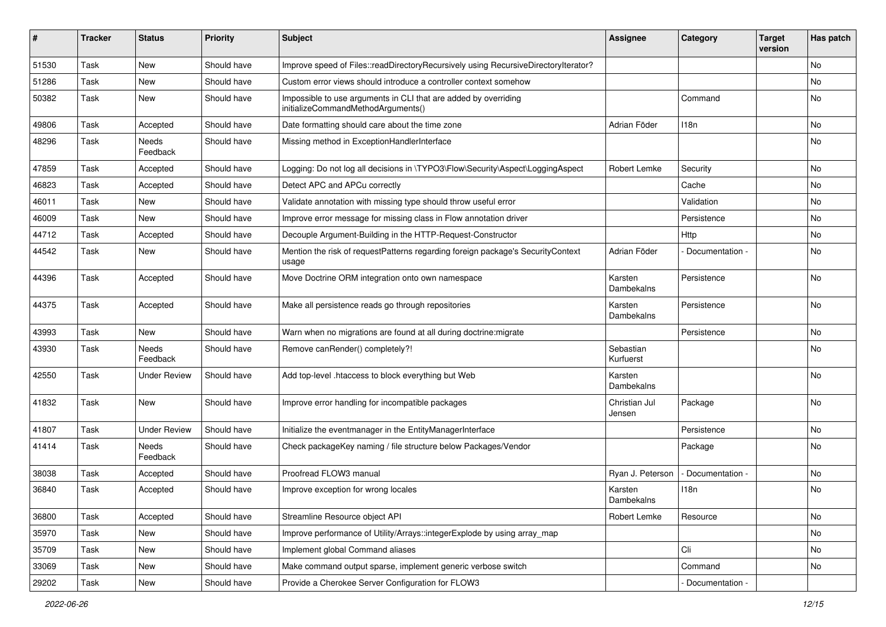| ∦     | <b>Tracker</b> | <b>Status</b>            | <b>Priority</b> | <b>Subject</b>                                                                                        | <b>Assignee</b>         | Category         | <b>Target</b><br>version | Has patch |
|-------|----------------|--------------------------|-----------------|-------------------------------------------------------------------------------------------------------|-------------------------|------------------|--------------------------|-----------|
| 51530 | Task           | New                      | Should have     | Improve speed of Files::readDirectoryRecursively using RecursiveDirectoryIterator?                    |                         |                  |                          | No        |
| 51286 | Task           | New                      | Should have     | Custom error views should introduce a controller context somehow                                      |                         |                  |                          | No        |
| 50382 | Task           | New                      | Should have     | Impossible to use arguments in CLI that are added by overriding<br>initializeCommandMethodArguments() |                         | Command          |                          | <b>No</b> |
| 49806 | Task           | Accepted                 | Should have     | Date formatting should care about the time zone                                                       | Adrian Föder            | 118 <sub>n</sub> |                          | <b>No</b> |
| 48296 | Task           | <b>Needs</b><br>Feedback | Should have     | Missing method in ExceptionHandlerInterface                                                           |                         |                  |                          | No        |
| 47859 | Task           | Accepted                 | Should have     | Logging: Do not log all decisions in \TYPO3\Flow\Security\Aspect\LoggingAspect                        | Robert Lemke            | Security         |                          | No        |
| 46823 | Task           | Accepted                 | Should have     | Detect APC and APCu correctly                                                                         |                         | Cache            |                          | <b>No</b> |
| 46011 | Task           | <b>New</b>               | Should have     | Validate annotation with missing type should throw useful error                                       |                         | Validation       |                          | No        |
| 46009 | Task           | New                      | Should have     | Improve error message for missing class in Flow annotation driver                                     |                         | Persistence      |                          | No        |
| 44712 | Task           | Accepted                 | Should have     | Decouple Argument-Building in the HTTP-Request-Constructor                                            |                         | Http             |                          | No        |
| 44542 | Task           | New                      | Should have     | Mention the risk of requestPatterns regarding foreign package's SecurityContext<br>usage              | Adrian Föder            | Documentation -  |                          | No        |
| 44396 | Task           | Accepted                 | Should have     | Move Doctrine ORM integration onto own namespace                                                      | Karsten<br>Dambekalns   | Persistence      |                          | <b>No</b> |
| 44375 | Task           | Accepted                 | Should have     | Make all persistence reads go through repositories                                                    | Karsten<br>Dambekalns   | Persistence      |                          | <b>No</b> |
| 43993 | Task           | New                      | Should have     | Warn when no migrations are found at all during doctrine: migrate                                     |                         | Persistence      |                          | <b>No</b> |
| 43930 | Task           | Needs<br>Feedback        | Should have     | Remove canRender() completely?!                                                                       | Sebastian<br>Kurfuerst  |                  |                          | No        |
| 42550 | Task           | <b>Under Review</b>      | Should have     | Add top-level .htaccess to block everything but Web                                                   | Karsten<br>Dambekalns   |                  |                          | <b>No</b> |
| 41832 | Task           | New                      | Should have     | Improve error handling for incompatible packages                                                      | Christian Jul<br>Jensen | Package          |                          | <b>No</b> |
| 41807 | Task           | <b>Under Review</b>      | Should have     | Initialize the eventmanager in the EntityManagerInterface                                             |                         | Persistence      |                          | <b>No</b> |
| 41414 | Task           | Needs<br>Feedback        | Should have     | Check packageKey naming / file structure below Packages/Vendor                                        |                         | Package          |                          | <b>No</b> |
| 38038 | Task           | Accepted                 | Should have     | Proofread FLOW3 manual                                                                                | Ryan J. Peterson        | Documentation -  |                          | No        |
| 36840 | Task           | Accepted                 | Should have     | Improve exception for wrong locales                                                                   | Karsten<br>Dambekalns   | 118n             |                          | <b>No</b> |
| 36800 | Task           | Accepted                 | Should have     | Streamline Resource object API                                                                        | Robert Lemke            | Resource         |                          | No        |
| 35970 | Task           | New                      | Should have     | Improve performance of Utility/Arrays::integerExplode by using array_map                              |                         |                  |                          | No        |
| 35709 | Task           | New                      | Should have     | Implement global Command aliases                                                                      |                         | Cli              |                          | No        |
| 33069 | Task           | New                      | Should have     | Make command output sparse, implement generic verbose switch                                          |                         | Command          |                          | No        |
| 29202 | Task           | New                      | Should have     | Provide a Cherokee Server Configuration for FLOW3                                                     |                         | Documentation -  |                          |           |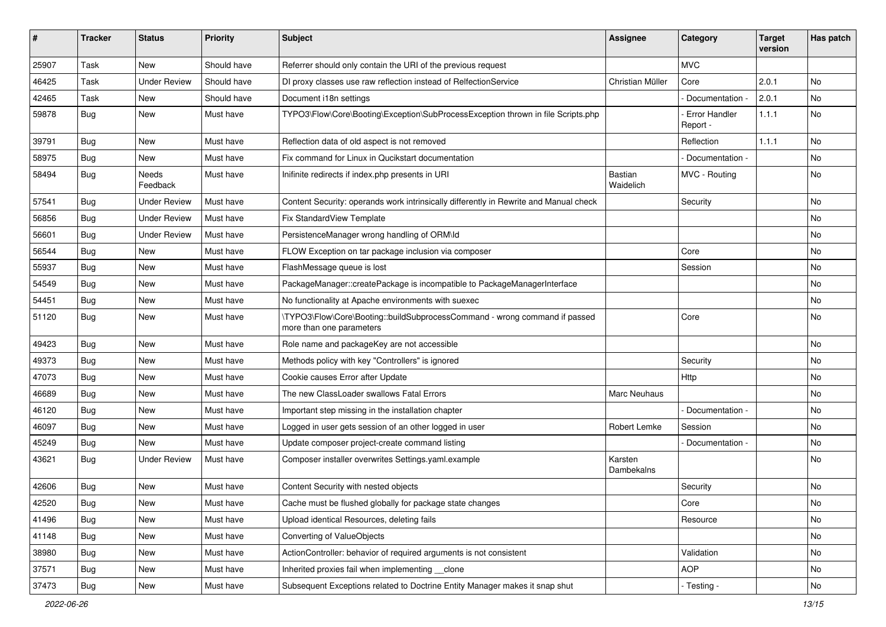| ∦     | <b>Tracker</b> | <b>Status</b>       | <b>Priority</b> | <b>Subject</b>                                                                                         | <b>Assignee</b>       | Category                         | <b>Target</b><br>version | Has patch |
|-------|----------------|---------------------|-----------------|--------------------------------------------------------------------------------------------------------|-----------------------|----------------------------------|--------------------------|-----------|
| 25907 | Task           | New                 | Should have     | Referrer should only contain the URI of the previous request                                           |                       | <b>MVC</b>                       |                          |           |
| 46425 | Task           | <b>Under Review</b> | Should have     | DI proxy classes use raw reflection instead of RelfectionService                                       | Christian Müller      | Core                             | 2.0.1                    | No        |
| 42465 | Task           | New                 | Should have     | Document i18n settings                                                                                 |                       | Documentation -                  | 2.0.1                    | No        |
| 59878 | <b>Bug</b>     | New                 | Must have       | TYPO3\Flow\Core\Booting\Exception\SubProcessException thrown in file Scripts.php                       |                       | <b>Error Handler</b><br>Report - | 1.1.1                    | No        |
| 39791 | <b>Bug</b>     | New                 | Must have       | Reflection data of old aspect is not removed                                                           |                       | Reflection                       | 1.1.1                    | No        |
| 58975 | <b>Bug</b>     | New                 | Must have       | Fix command for Linux in Qucikstart documentation                                                      |                       | Documentation -                  |                          | No        |
| 58494 | <b>Bug</b>     | Needs<br>Feedback   | Must have       | Inifinite redirects if index.php presents in URI                                                       | Bastian<br>Waidelich  | MVC - Routing                    |                          | No        |
| 57541 | <b>Bug</b>     | <b>Under Review</b> | Must have       | Content Security: operands work intrinsically differently in Rewrite and Manual check                  |                       | Security                         |                          | No        |
| 56856 | <b>Bug</b>     | <b>Under Review</b> | Must have       | Fix StandardView Template                                                                              |                       |                                  |                          | No        |
| 56601 | <b>Bug</b>     | <b>Under Review</b> | Must have       | PersistenceManager wrong handling of ORM\ld                                                            |                       |                                  |                          | No        |
| 56544 | <b>Bug</b>     | New                 | Must have       | FLOW Exception on tar package inclusion via composer                                                   |                       | Core                             |                          | No        |
| 55937 | Bug            | New                 | Must have       | FlashMessage queue is lost                                                                             |                       | Session                          |                          | No        |
| 54549 | <b>Bug</b>     | New                 | Must have       | PackageManager::createPackage is incompatible to PackageManagerInterface                               |                       |                                  |                          | No        |
| 54451 | <b>Bug</b>     | New                 | Must have       | No functionality at Apache environments with suexec                                                    |                       |                                  |                          | No        |
| 51120 | Bug            | New                 | Must have       | \TYPO3\Flow\Core\Booting::buildSubprocessCommand - wrong command if passed<br>more than one parameters |                       | Core                             |                          | No        |
| 49423 | <b>Bug</b>     | New                 | Must have       | Role name and packageKey are not accessible                                                            |                       |                                  |                          | No        |
| 49373 | Bug            | <b>New</b>          | Must have       | Methods policy with key "Controllers" is ignored                                                       |                       | Security                         |                          | No        |
| 47073 | <b>Bug</b>     | New                 | Must have       | Cookie causes Error after Update                                                                       |                       | <b>Http</b>                      |                          | No        |
| 46689 | Bug            | New                 | Must have       | The new ClassLoader swallows Fatal Errors                                                              | Marc Neuhaus          |                                  |                          | No        |
| 46120 | <b>Bug</b>     | New                 | Must have       | Important step missing in the installation chapter                                                     |                       | Documentation -                  |                          | No        |
| 46097 | <b>Bug</b>     | New                 | Must have       | Logged in user gets session of an other logged in user                                                 | Robert Lemke          | Session                          |                          | No        |
| 45249 | Bug            | <b>New</b>          | Must have       | Update composer project-create command listing                                                         |                       | Documentation -                  |                          | No        |
| 43621 | <b>Bug</b>     | <b>Under Review</b> | Must have       | Composer installer overwrites Settings.yaml.example                                                    | Karsten<br>Dambekalns |                                  |                          | No        |
| 42606 | <b>Bug</b>     | New                 | Must have       | Content Security with nested objects                                                                   |                       | Security                         |                          | No        |
| 42520 | <b>Bug</b>     | <b>New</b>          | Must have       | Cache must be flushed globally for package state changes                                               |                       | Core                             |                          | No.       |
| 41496 | <b>Bug</b>     | New                 | Must have       | Upload identical Resources, deleting fails                                                             |                       | Resource                         |                          | No        |
| 41148 | <b>Bug</b>     | New                 | Must have       | Converting of ValueObjects                                                                             |                       |                                  |                          | No        |
| 38980 | <b>Bug</b>     | New                 | Must have       | ActionController: behavior of required arguments is not consistent                                     |                       | Validation                       |                          | No        |
| 37571 | Bug            | New                 | Must have       | Inherited proxies fail when implementing clone                                                         |                       | <b>AOP</b>                       |                          | No        |
| 37473 | <b>Bug</b>     | New                 | Must have       | Subsequent Exceptions related to Doctrine Entity Manager makes it snap shut                            |                       | - Testing -                      |                          | No        |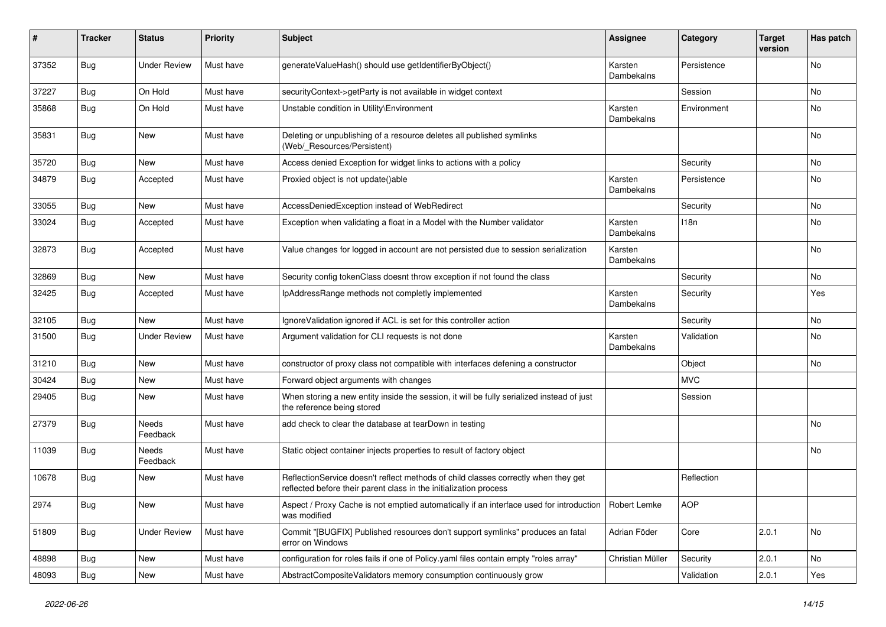| #     | <b>Tracker</b> | <b>Status</b>       | <b>Priority</b> | <b>Subject</b>                                                                                                                                          | <b>Assignee</b>              | Category    | <b>Target</b><br>version | Has patch |
|-------|----------------|---------------------|-----------------|---------------------------------------------------------------------------------------------------------------------------------------------------------|------------------------------|-------------|--------------------------|-----------|
| 37352 | Bug            | <b>Under Review</b> | Must have       | generateValueHash() should use getIdentifierByObject()                                                                                                  | Karsten<br>Dambekalns        | Persistence |                          | <b>No</b> |
| 37227 | Bug            | On Hold             | Must have       | securityContext->getParty is not available in widget context                                                                                            |                              | Session     |                          | No        |
| 35868 | <b>Bug</b>     | On Hold             | Must have       | Unstable condition in Utility\Environment                                                                                                               | Karsten<br>Dambekalns        | Environment |                          | <b>No</b> |
| 35831 | <b>Bug</b>     | New                 | Must have       | Deleting or unpublishing of a resource deletes all published symlinks<br>(Web/_Resources/Persistent)                                                    |                              |             |                          | <b>No</b> |
| 35720 | Bug            | New                 | Must have       | Access denied Exception for widget links to actions with a policy                                                                                       |                              | Security    |                          | No        |
| 34879 | Bug            | Accepted            | Must have       | Proxied object is not update()able                                                                                                                      | Karsten<br>Dambekalns        | Persistence |                          | <b>No</b> |
| 33055 | Bug            | New                 | Must have       | AccessDeniedException instead of WebRedirect                                                                                                            |                              | Security    |                          | <b>No</b> |
| 33024 | Bug            | Accepted            | Must have       | Exception when validating a float in a Model with the Number validator                                                                                  | Karsten<br><b>Dambekalns</b> | 118n        |                          | No        |
| 32873 | <b>Bug</b>     | Accepted            | Must have       | Value changes for logged in account are not persisted due to session serialization                                                                      | Karsten<br>Dambekalns        |             |                          | <b>No</b> |
| 32869 | Bug            | New                 | Must have       | Security config tokenClass doesnt throw exception if not found the class                                                                                |                              | Security    |                          | No        |
| 32425 | Bug            | Accepted            | Must have       | IpAddressRange methods not completly implemented                                                                                                        | Karsten<br>Dambekalns        | Security    |                          | Yes       |
| 32105 | <b>Bug</b>     | New                 | Must have       | IgnoreValidation ignored if ACL is set for this controller action                                                                                       |                              | Security    |                          | <b>No</b> |
| 31500 | Bug            | <b>Under Review</b> | Must have       | Argument validation for CLI requests is not done                                                                                                        | Karsten<br>Dambekalns        | Validation  |                          | <b>No</b> |
| 31210 | Bug            | New                 | Must have       | constructor of proxy class not compatible with interfaces defening a constructor                                                                        |                              | Object      |                          | No        |
| 30424 | Bug            | New                 | Must have       | Forward object arguments with changes                                                                                                                   |                              | <b>MVC</b>  |                          |           |
| 29405 | <b>Bug</b>     | New                 | Must have       | When storing a new entity inside the session, it will be fully serialized instead of just<br>the reference being stored                                 |                              | Session     |                          |           |
| 27379 | <b>Bug</b>     | Needs<br>Feedback   | Must have       | add check to clear the database at tearDown in testing                                                                                                  |                              |             |                          | <b>No</b> |
| 11039 | Bug            | Needs<br>Feedback   | Must have       | Static object container injects properties to result of factory object                                                                                  |                              |             |                          | <b>No</b> |
| 10678 | <b>Bug</b>     | New                 | Must have       | ReflectionService doesn't reflect methods of child classes correctly when they get<br>reflected before their parent class in the initialization process |                              | Reflection  |                          |           |
| 2974  | <b>Bug</b>     | New                 | Must have       | Aspect / Proxy Cache is not emptied automatically if an interface used for introduction   Robert Lemke<br>was modified                                  |                              | AOP         |                          |           |
| 51809 | <b>Bug</b>     | <b>Under Review</b> | Must have       | Commit "[BUGFIX] Published resources don't support symlinks" produces an fatal<br>error on Windows                                                      | Adrian Föder                 | Core        | 2.0.1                    | No        |
| 48898 | Bug            | New                 | Must have       | configuration for roles fails if one of Policy.yaml files contain empty "roles array"                                                                   | Christian Müller             | Security    | 2.0.1                    | No        |
| 48093 | Bug            | New                 | Must have       | AbstractCompositeValidators memory consumption continuously grow                                                                                        |                              | Validation  | 2.0.1                    | Yes       |